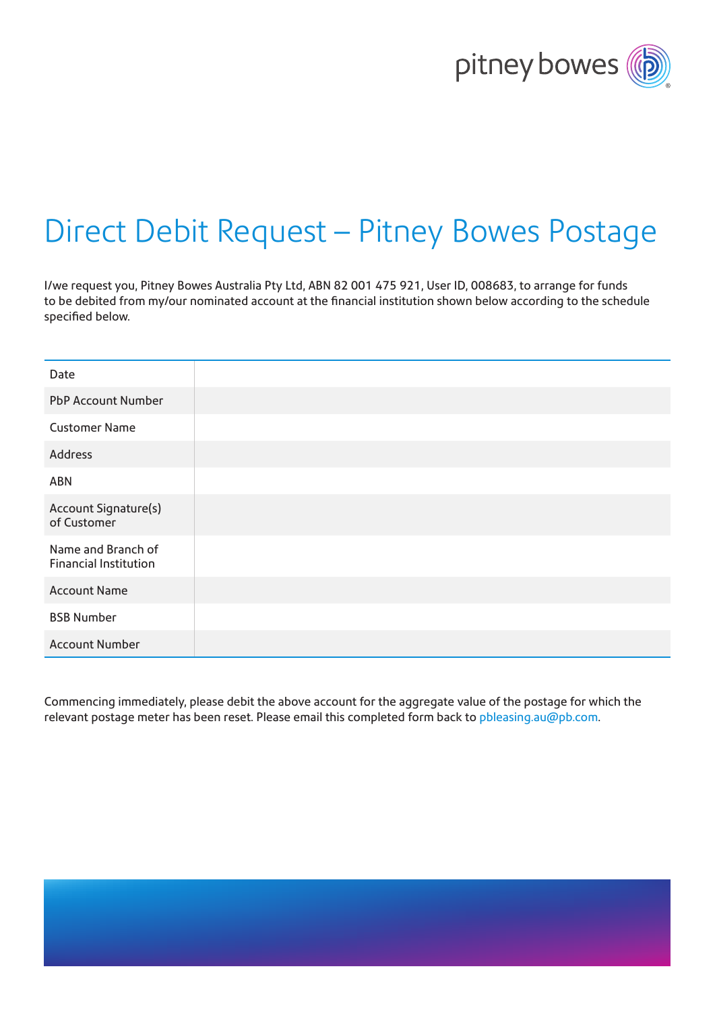

# Direct Debit Request – Pitney Bowes Postage

I/we request you, Pitney Bowes Australia Pty Ltd, ABN 82 001 475 921, User ID, 008683, to arrange for funds to be debited from my/our nominated account at the financial institution shown below according to the schedule specified below.

| Date                                        |  |
|---------------------------------------------|--|
| PbP Account Number                          |  |
| <b>Customer Name</b>                        |  |
| Address                                     |  |
| ABN                                         |  |
| Account Signature(s)<br>of Customer         |  |
| Name and Branch of<br>Financial Institution |  |
| <b>Account Name</b>                         |  |
| <b>BSB Number</b>                           |  |
| <b>Account Number</b>                       |  |

Commencing immediately, please debit the above account for the aggregate value of the postage for which the relevant postage meter has been reset. Please email this completed form back to [pbleasing.au@pb.com](mailto:pbleasing.au%40pb.com?subject=).